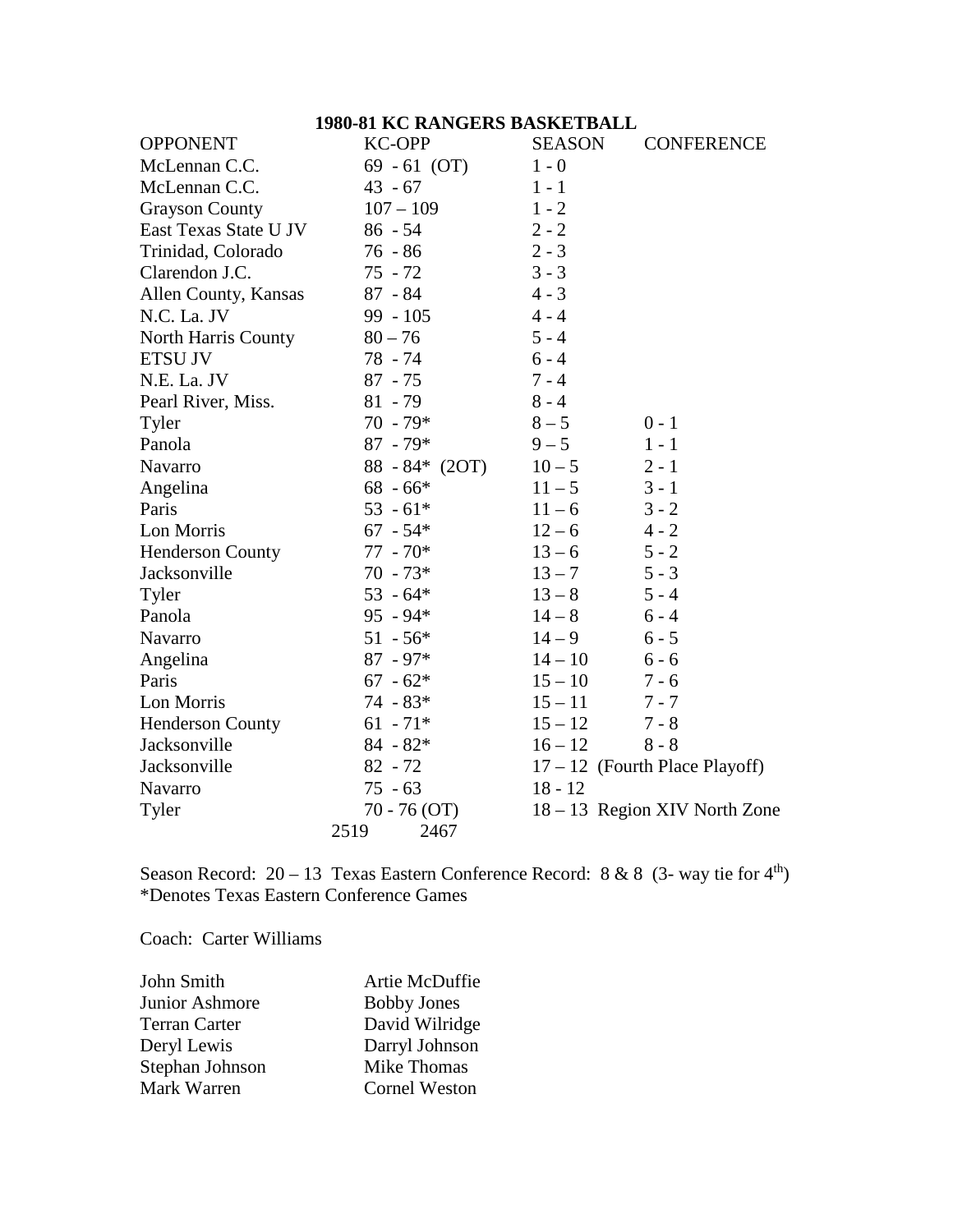## **1980-81 KC RANGERS BASKETBALL**

| <b>OPPONENT</b>         | <b>KC-OPP</b>    | <b>SEASON</b> | <b>CONFERENCE</b>                |
|-------------------------|------------------|---------------|----------------------------------|
| McLennan C.C.           | $69 - 61$ (OT)   | $1 - 0$       |                                  |
| McLennan C.C.           | $43 - 67$        | $1 - 1$       |                                  |
| <b>Grayson County</b>   | $107 - 109$      | $1 - 2$       |                                  |
| East Texas State U JV   | $86 - 54$        | $2 - 2$       |                                  |
| Trinidad, Colorado      | $76 - 86$        | $2 - 3$       |                                  |
| Clarendon J.C.          | $75 - 72$        | $3 - 3$       |                                  |
| Allen County, Kansas    | $87 - 84$        | $4 - 3$       |                                  |
| N.C. La. JV             | $99 - 105$       | $4 - 4$       |                                  |
| North Harris County     | $80 - 76$        | $5 - 4$       |                                  |
| <b>ETSU JV</b>          | 78 - 74          | $6 - 4$       |                                  |
| N.E. La. JV             | $87 - 75$        | $7 - 4$       |                                  |
| Pearl River, Miss.      | $81 - 79$        | $8 - 4$       |                                  |
| Tyler                   | $70 - 79*$       | $8 - 5$       | $0 - 1$                          |
| Panola                  | $87 - 79*$       | $9 - 5$       | $1 - 1$                          |
| Navarro                 | $88 - 84* (2OT)$ | $10 - 5$      | $2 - 1$                          |
| Angelina                | $68 - 66*$       | $11 - 5$      | $3 - 1$                          |
| Paris                   | $53 - 61*$       | $11 - 6$      | $3 - 2$                          |
| Lon Morris              | $67 - 54*$       | $12 - 6$      | $4 - 2$                          |
| <b>Henderson County</b> | $77 - 70*$       | $13 - 6$      | $5 - 2$                          |
| Jacksonville            | $70 - 73*$       | $13 - 7$      | $5 - 3$                          |
| Tyler                   | $53 - 64*$       | $13 - 8$      | $5 - 4$                          |
| Panola                  | $95 - 94*$       | $14 - 8$      | $6 - 4$                          |
| Navarro                 | $51 - 56*$       | $14 - 9$      | $6 - 5$                          |
| Angelina                | $87 - 97*$       | $14 - 10$     | $6 - 6$                          |
| Paris                   | $67 - 62*$       | $15 - 10$     | $7 - 6$                          |
| Lon Morris              | $74 - 83*$       | $15 - 11$     | $7 - 7$                          |
| <b>Henderson County</b> | $61 - 71*$       | $15 - 12$     | $7 - 8$                          |
| Jacksonville            | $84 - 82*$       | $16 - 12$     | $8 - 8$                          |
| Jacksonville            | $82 - 72$        |               | $17 - 12$ (Fourth Place Playoff) |
| Navarro                 | $75 - 63$        | $18 - 12$     |                                  |
| Tyler                   | $70 - 76(OT)$    |               | 18 – 13 Region XIV North Zone    |
|                         | 2519<br>2467     |               |                                  |

Season Record:  $20 - 13$  Texas Eastern Conference Record: 8 & 8 (3- way tie for 4<sup>th</sup>) \*Denotes Texas Eastern Conference Games

Coach: Carter Williams

| John Smith           | Artie McDuffie       |
|----------------------|----------------------|
| Junior Ashmore       | <b>Bobby Jones</b>   |
| <b>Terran Carter</b> | David Wilridge       |
| Deryl Lewis          | Darryl Johnson       |
| Stephan Johnson      | Mike Thomas          |
| Mark Warren          | <b>Cornel Weston</b> |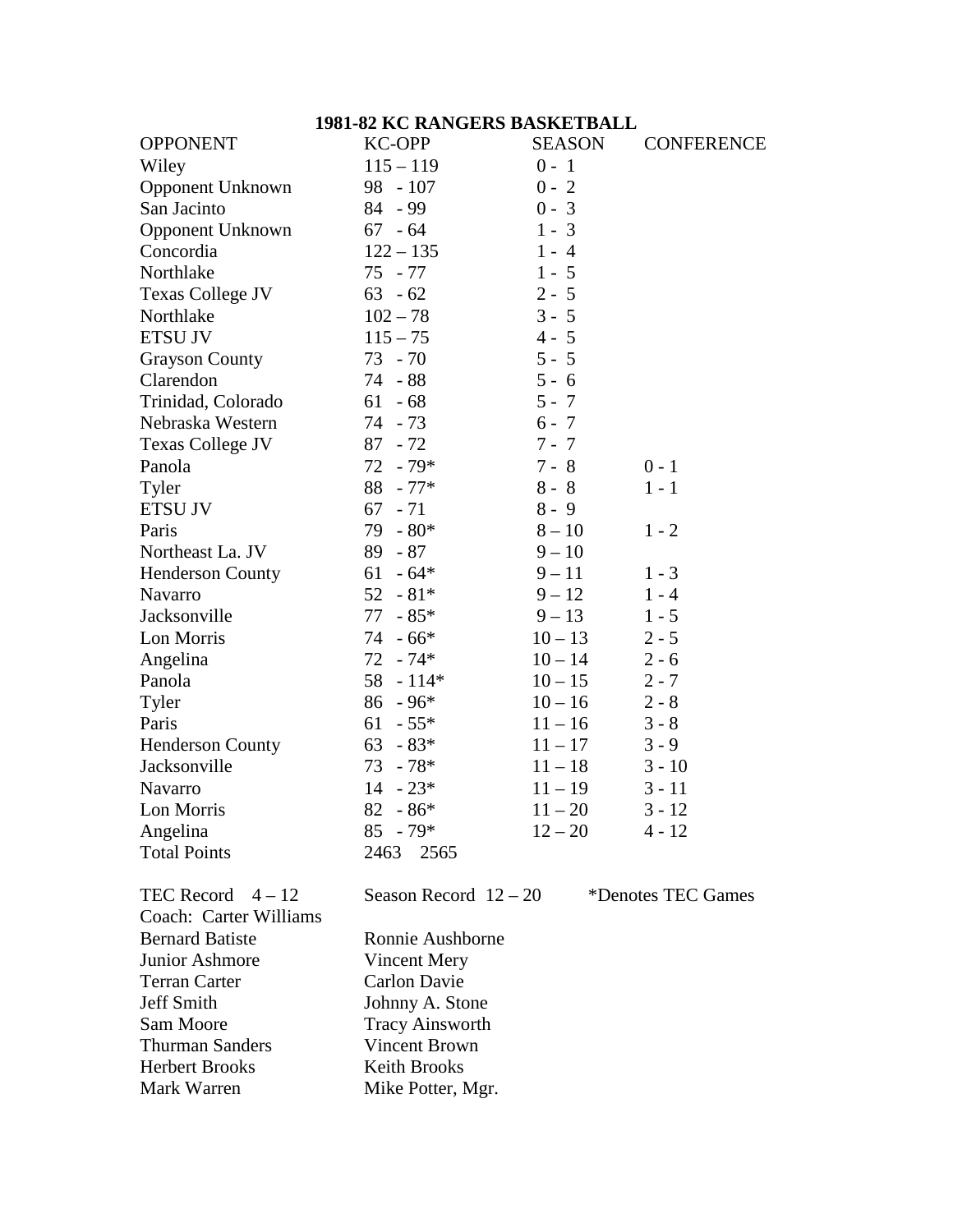### **1981-82 KC RANGERS BASKETBALL**

| <b>OPPONENT</b>              | <b>KC-OPP</b>                                  | <b>SEASON</b> | <b>CONFERENCE</b>     |  |
|------------------------------|------------------------------------------------|---------------|-----------------------|--|
| Wiley                        | $115 - 119$                                    | $0 - 1$       |                       |  |
| <b>Opponent Unknown</b>      | $98 - 107$                                     | $0 - 2$       |                       |  |
| San Jacinto                  | 84 - 99                                        | $0 - 3$       |                       |  |
| <b>Opponent Unknown</b>      | $67 - 64$                                      | $1 - 3$       |                       |  |
| Concordia                    | $122 - 135$                                    | $1 - 4$       |                       |  |
| Northlake                    | 75 - 77                                        | $1 - 5$       |                       |  |
| <b>Texas College JV</b>      | $63 - 62$                                      | $2 - 5$       |                       |  |
| Northlake                    | $102 - 78$                                     | $3 - 5$       |                       |  |
| <b>ETSU JV</b>               | $115 - 75$                                     | $4 - 5$       |                       |  |
| <b>Grayson County</b>        | $73 - 70$                                      | $5 - 5$       |                       |  |
| Clarendon                    | 74 - 88                                        | $5 - 6$       |                       |  |
| Trinidad, Colorado           | 61<br>$-68$                                    | $5 - 7$       |                       |  |
| Nebraska Western             | $74 - 73$                                      | $6 - 7$       |                       |  |
| <b>Texas College JV</b>      | $87 - 72$                                      | $7 - 7$       |                       |  |
| Panola                       | 72<br>$-79*$                                   | $7 - 8$       | $0 - 1$               |  |
| Tyler                        | $88 - 77*$                                     | $8 - 8$       | $1 - 1$               |  |
| <b>ETSU JV</b>               | $67 - 71$                                      | $8 - 9$       |                       |  |
| Paris                        | $79 - 80*$                                     | $8 - 10$      | $1 - 2$               |  |
| Northeast La. JV             | $89 - 87$                                      | $9 - 10$      |                       |  |
| Henderson County             | 61<br>$-64*$                                   | $9 - 11$      | $1 - 3$               |  |
| Navarro                      | $52 - 81*$                                     | $9 - 12$      | $1 - 4$               |  |
| Jacksonville                 | 77<br>$-85*$                                   | $9 - 13$      | $1 - 5$               |  |
| Lon Morris                   | $74 - 66*$                                     | $10 - 13$     | $2 - 5$               |  |
| Angelina                     | $72 - 74*$                                     | $10 - 14$     | $2 - 6$               |  |
| Panola                       | $58 - 114*$                                    | $10 - 15$     | $2 - 7$               |  |
| Tyler                        | $86 - 96*$                                     | $10 - 16$     | $2 - 8$               |  |
| Paris                        | $61 - 55*$                                     | $11 - 16$     | $3 - 8$               |  |
| <b>Henderson County</b>      | $63 - 83*$                                     | $11 - 17$     | $3 - 9$               |  |
| Jacksonville                 | $73 - 78*$                                     | $11 - 18$     | $3 - 10$              |  |
| Navarro                      | $14 - 23*$                                     | $11 - 19$     | $3 - 11$              |  |
| Lon Morris                   | 82<br>$-86*$                                   | $11 - 20$     | $3 - 12$              |  |
| Angelina                     | $85 - 79*$                                     | $12 - 20$     | $4 - 12$              |  |
| <b>Total Points</b>          | 2463<br>2565                                   |               |                       |  |
| $TECD_{bound}$ $\uparrow$ 12 | $S_{\alpha\alpha\alpha}$ D <sub>agard</sub> 12 | $\Omega$      | $*$ Danatas TEC Camas |  |

TEC Record  $4-12$  Season Record  $12-20$  \*Denotes TEC Games Coach: Carter Williams Bernard Batiste Ronnie Aushborne<br>
Junior Ashmore Vincent Mery Junior Ashmore Terran Carter Carlon Davie<br>
Jeff Smith Shohnny A. Sto Johnny A. Stone Sam Moore Tracy Ainsworth Thurman Sanders<br>
Herbert Brooks<br>
Keith Brooks Herbert Brooks<br>Mark Warren Mike Potter, Mgr.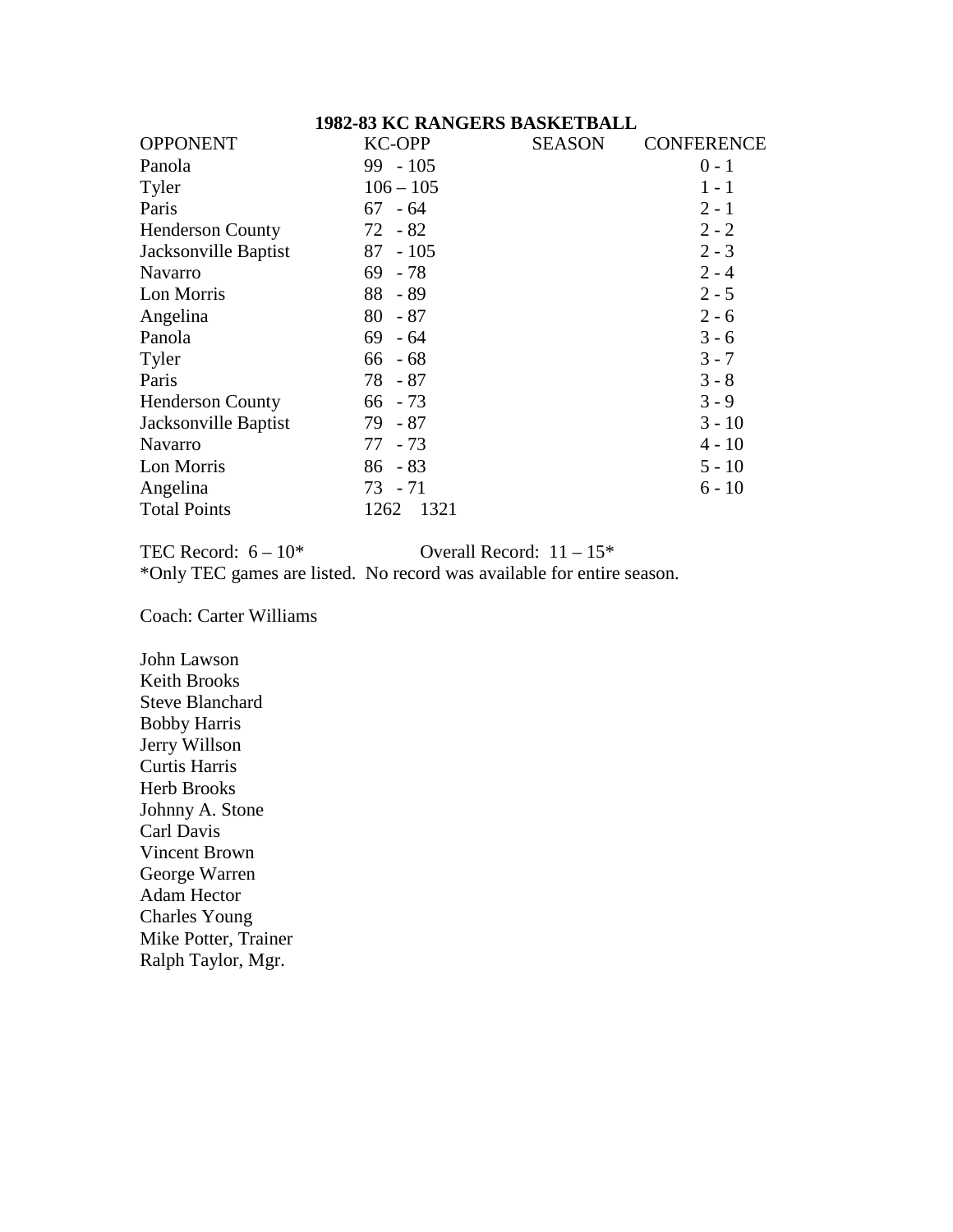#### **1982-83 KC RANGERS BASKETBALL**

| <b>OPPONENT</b>         | <b>KC-OPP</b> | <b>SEASON</b> | <b>CONFERENCE</b> |
|-------------------------|---------------|---------------|-------------------|
| Panola                  | $99 - 105$    |               | $0 - 1$           |
| Tyler                   | $106 - 105$   |               | $1 - 1$           |
| Paris                   | $67 - 64$     |               | $2 - 1$           |
| <b>Henderson County</b> | $72 - 82$     |               | $2 - 2$           |
| Jacksonville Baptist    | $87 - 105$    |               | $2 - 3$           |
| Navarro                 | 69<br>- 78    |               | $2 - 4$           |
| Lon Morris              | $88 - 89$     |               | $2 - 5$           |
| Angelina                | $80 - 87$     |               | $2 - 6$           |
| Panola                  | $69 - 64$     |               | $3 - 6$           |
| Tyler                   | $66 - 68$     |               | $3 - 7$           |
| Paris                   | 78 - 87       |               | $3 - 8$           |
| <b>Henderson County</b> | $66 - 73$     |               | $3 - 9$           |
| Jacksonville Baptist    | 79 - 87       |               | $3 - 10$          |
| <b>Navarro</b>          | 77 - 73       |               | $4 - 10$          |
| Lon Morris              | $86 - 83$     |               | $5 - 10$          |
| Angelina                | $73 - 71$     |               | $6 - 10$          |
| <b>Total Points</b>     | 1321<br>1262  |               |                   |

TEC Record:  $6 - 10^*$  Overall Record:  $11 - 15^*$ \*Only TEC games are listed. No record was available for entire season.

Coach: Carter Williams

John Lawson Keith Brooks Steve Blanchard Bobby Harris Jerry Willson Curtis Harris Herb Brooks Johnny A. Stone Carl Davis Vincent Brown George Warren Adam Hector Charles Young Mike Potter, Trainer Ralph Taylor, Mgr.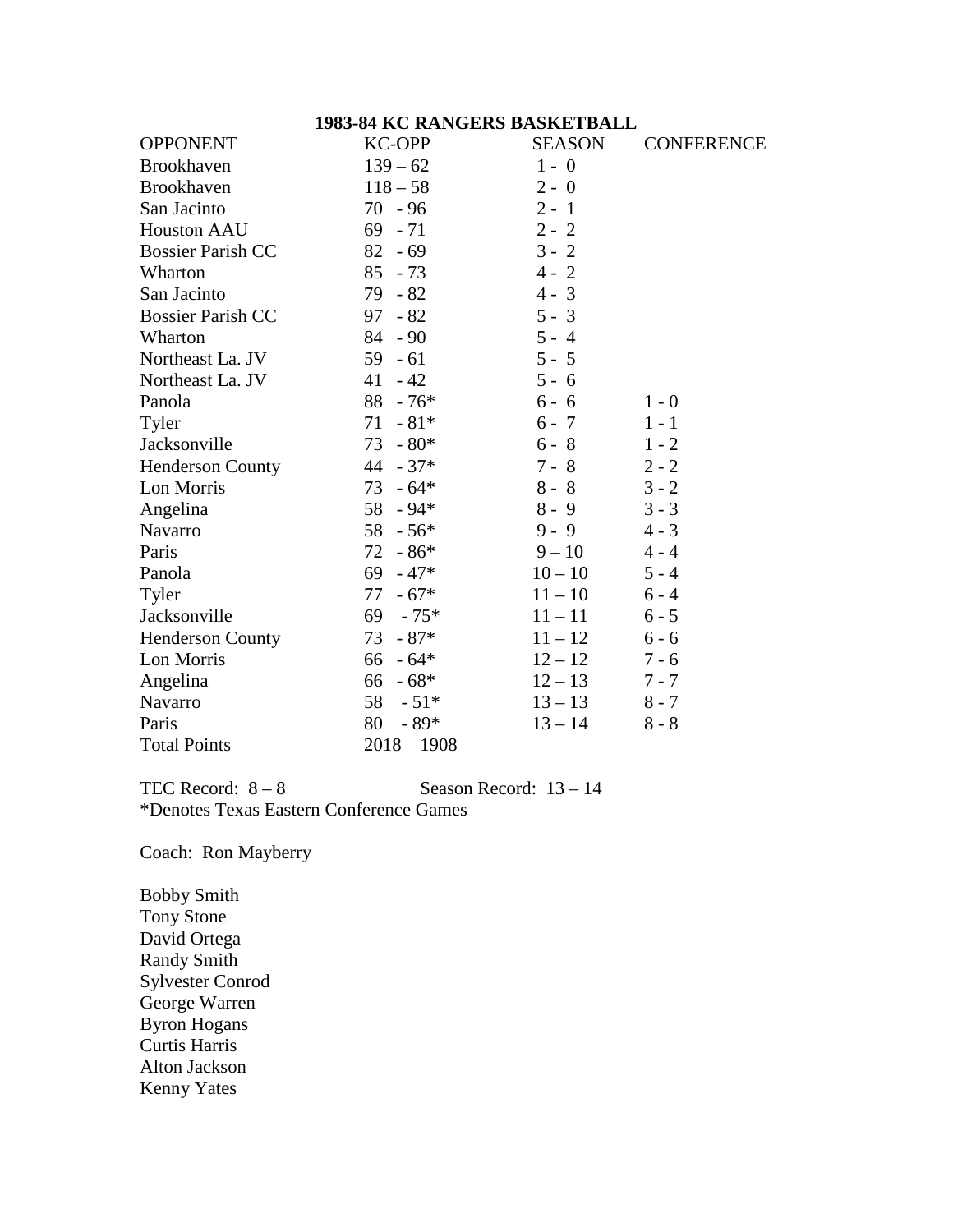#### **1983-84 KC RANGERS BASKETBALL**

| <b>OPPONENT</b>          | <b>KC-OPP</b> | <b>SEASON</b> | <b>CONFERENCE</b> |
|--------------------------|---------------|---------------|-------------------|
| <b>Brookhaven</b>        | $139 - 62$    | $1 - 0$       |                   |
| <b>Brookhaven</b>        | $118 - 58$    | $2 - 0$       |                   |
| San Jacinto              | $70 - 96$     | $2 - 1$       |                   |
| <b>Houston AAU</b>       | $69 - 71$     | $2 - 2$       |                   |
| <b>Bossier Parish CC</b> | $82 - 69$     | $3 - 2$       |                   |
| Wharton                  | $85 - 73$     | $4 - 2$       |                   |
| San Jacinto              | 79 - 82       | $4 - 3$       |                   |
| <b>Bossier Parish CC</b> | $97 - 82$     | $5 - 3$       |                   |
| Wharton                  | $84 - 90$     | $5 - 4$       |                   |
| Northeast La. JV         | $59 - 61$     | $5 - 5$       |                   |
| Northeast La. JV         | $41 - 42$     | $5 - 6$       |                   |
| Panola                   | $88 - 76*$    | $6 - 6$       | $1 - 0$           |
| Tyler                    | $71 - 81*$    | $6 - 7$       | $1 - 1$           |
| Jacksonville             | $73 - 80*$    | $6 - 8$       | $1 - 2$           |
| <b>Henderson County</b>  | $44 - 37*$    | $7 - 8$       | $2 - 2$           |
| Lon Morris               | $73 - 64*$    | $8 - 8$       | $3 - 2$           |
| Angelina                 | $58 - 94*$    | $8 - 9$       | $3 - 3$           |
| Navarro                  | $58 - 56*$    | $9 - 9$       | $4 - 3$           |
| Paris                    | $-86*$<br>72  | $9 - 10$      | $4 - 4$           |
| Panola                   | $69 - 47*$    | $10 - 10$     | $5 - 4$           |
| Tyler                    | $77 - 67*$    | $11 - 10$     | $6 - 4$           |
| Jacksonville             | $69 - 75*$    | $11 - 11$     | $6 - 5$           |
| <b>Henderson County</b>  | 73<br>$-87*$  | $11 - 12$     | $6 - 6$           |
| Lon Morris               | $66 - 64*$    | $12 - 12$     | $7 - 6$           |
| Angelina                 | $66 - 68*$    | $12 - 13$     | $7 - 7$           |
| Navarro                  | 58<br>$-51*$  | $13 - 13$     | $8 - 7$           |
| Paris                    | 80<br>$-89*$  | $13 - 14$     | $8 - 8$           |
| <b>Total Points</b>      | 2018<br>1908  |               |                   |

TEC Record:  $8-8$  Season Record:  $13-14$ \*Denotes Texas Eastern Conference Games

Coach: Ron Mayberry

Bobby Smith Tony Stone David Ortega Randy Smith Sylvester Conrod George Warren Byron Hogans Curtis Harris Alton Jackson Kenny Yates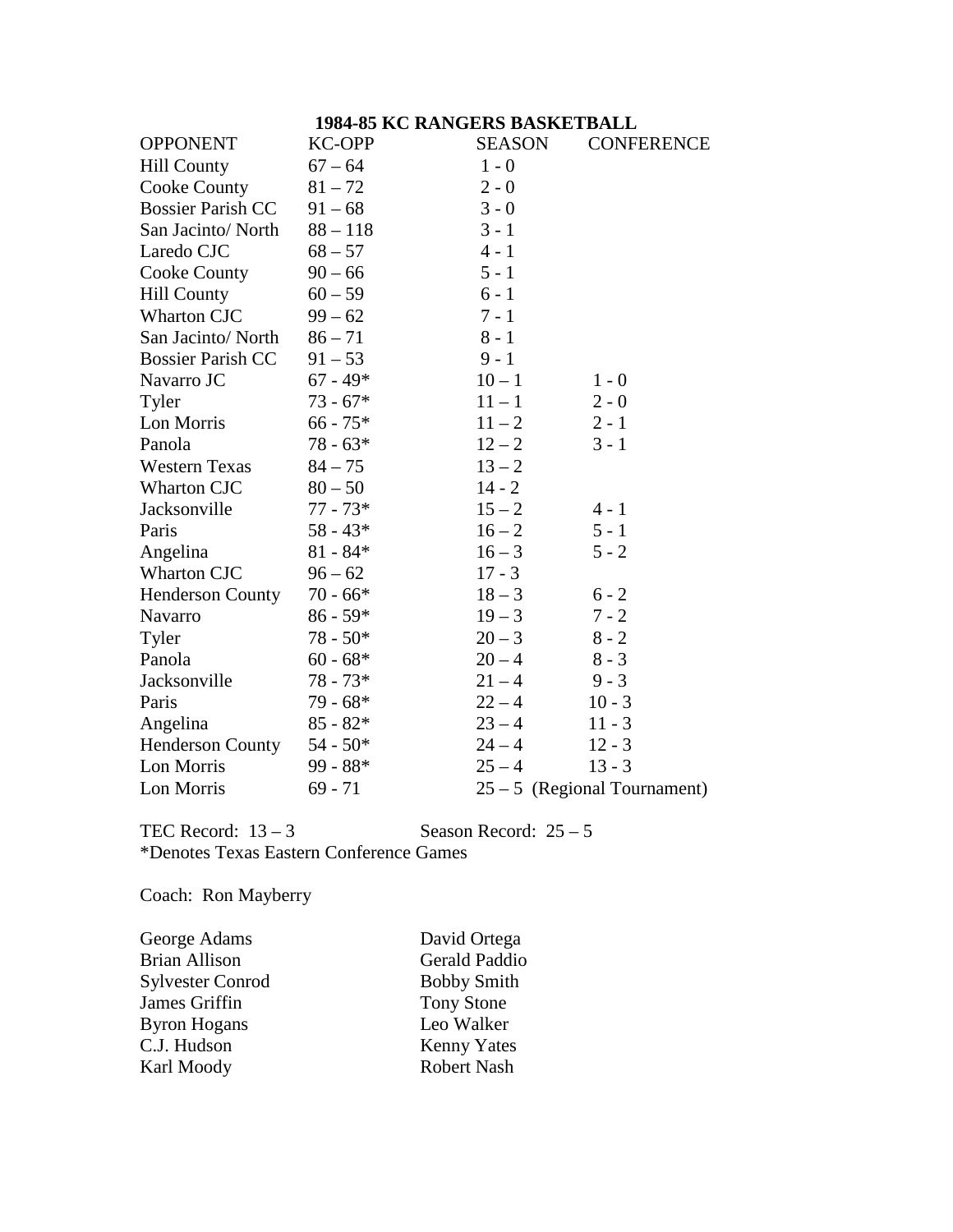# **1984-85 KC RANGERS BASKETBALL**

| <b>OPPONENT</b>          | <b>KC-OPP</b> | <b>SEASON</b> | <b>CONFERENCE</b>              |
|--------------------------|---------------|---------------|--------------------------------|
| <b>Hill County</b>       | $67 - 64$     | $1 - 0$       |                                |
| Cooke County             | $81 - 72$     | $2 - 0$       |                                |
| <b>Bossier Parish CC</b> | $91 - 68$     | $3 - 0$       |                                |
| San Jacinto/North        | $88 - 118$    | $3 - 1$       |                                |
| Laredo CJC               | $68 - 57$     | $4 - 1$       |                                |
| Cooke County             | $90 - 66$     | $5 - 1$       |                                |
| <b>Hill County</b>       | $60 - 59$     | $6 - 1$       |                                |
| Wharton CJC              | $99 - 62$     | $7 - 1$       |                                |
| San Jacinto/North        | $86 - 71$     | $8 - 1$       |                                |
| <b>Bossier Parish CC</b> | $91 - 53$     | $9 - 1$       |                                |
| Navarro JC               | $67 - 49*$    | $10 - 1$      | $1 - 0$                        |
| Tyler                    | $73 - 67*$    | $11 - 1$      | $2 - 0$                        |
| Lon Morris               | $66 - 75*$    | $11 - 2$      | $2 - 1$                        |
| Panola                   | $78 - 63*$    | $12 - 2$      | $3 - 1$                        |
| <b>Western Texas</b>     | $84 - 75$     | $13 - 2$      |                                |
| Wharton CJC              | $80 - 50$     | $14 - 2$      |                                |
| Jacksonville             | $77 - 73*$    | $15 - 2$      | $4 - 1$                        |
| Paris                    | $58 - 43*$    | $16 - 2$      | $5 - 1$                        |
| Angelina                 | $81 - 84*$    | $16 - 3$      | $5 - 2$                        |
| Wharton CJC              | $96 - 62$     | $17 - 3$      |                                |
| <b>Henderson County</b>  | $70 - 66*$    | $18 - 3$      | $6 - 2$                        |
| Navarro                  | $86 - 59*$    | $19 - 3$      | $7 - 2$                        |
| Tyler                    | $78 - 50*$    | $20 - 3$      | $8 - 2$                        |
| Panola                   | $60 - 68*$    | $20 - 4$      | $8 - 3$                        |
| Jacksonville             | $78 - 73*$    | $21 - 4$      | $9 - 3$                        |
| Paris                    | $79 - 68*$    | $22 - 4$      | $10 - 3$                       |
| Angelina                 | $85 - 82*$    | $23 - 4$      | $11 - 3$                       |
| Henderson County         | $54 - 50*$    | $24 - 4$      | $12 - 3$                       |
| Lon Morris               | $99 - 88*$    | $25 - 4$      | $13 - 3$                       |
| Lon Morris               | $69 - 71$     |               | $25 - 5$ (Regional Tournament) |

TEC Record:  $13 - 3$  Season Record:  $25 - 5$ \*Denotes Texas Eastern Conference Games

Coach: Ron Mayberry

| George Adams            | David Ortega       |
|-------------------------|--------------------|
| Brian Allison           | Gerald Paddio      |
| <b>Sylvester Conrod</b> | <b>Bobby Smith</b> |
| James Griffin           | <b>Tony Stone</b>  |
| Byron Hogans            | Leo Walker         |
| C.J. Hudson             | <b>Kenny Yates</b> |
| Karl Moody              | <b>Robert Nash</b> |
|                         |                    |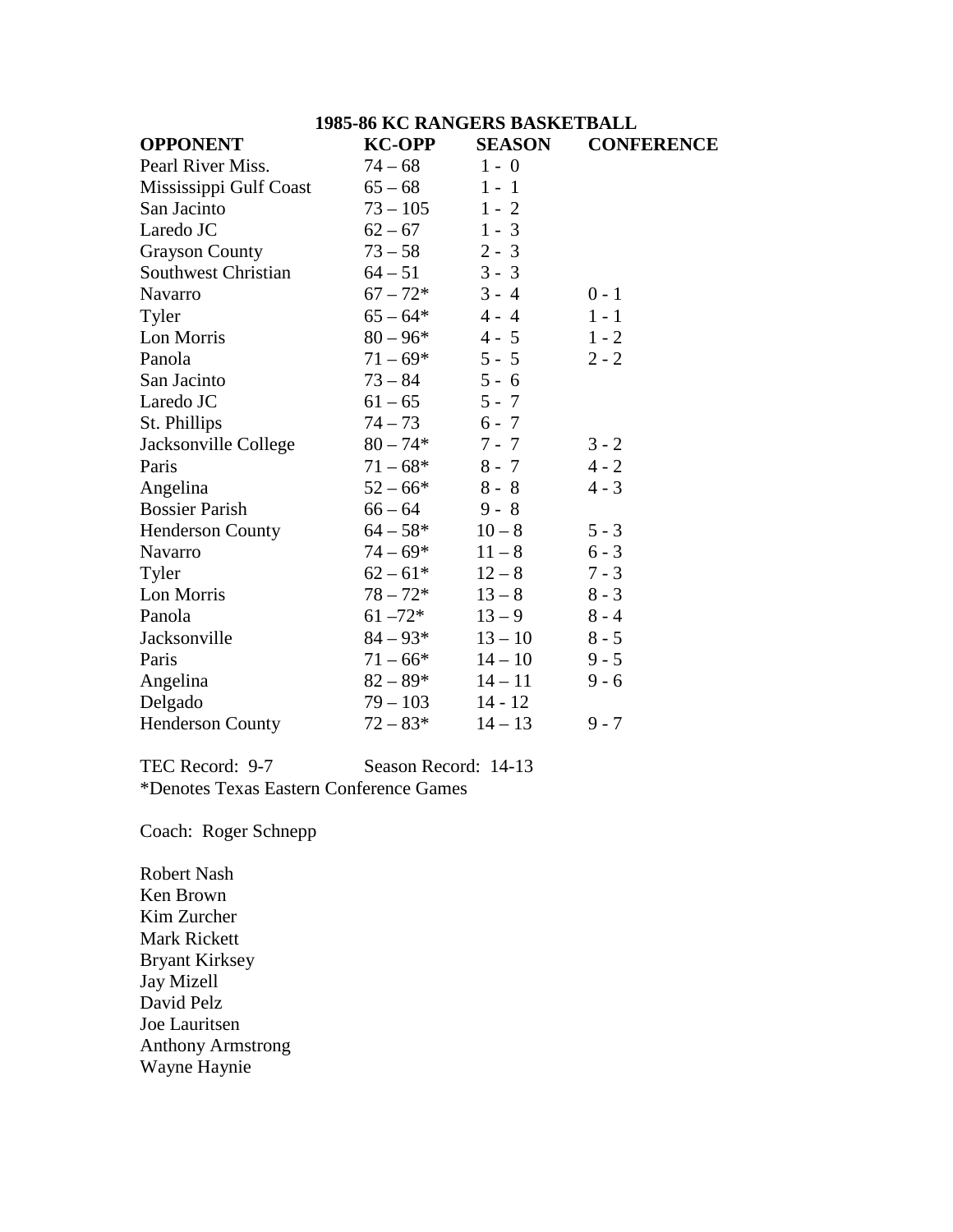|                         | <b>1985-86 KC RANGERS BASKETBALL</b> |               |                   |
|-------------------------|--------------------------------------|---------------|-------------------|
| <b>OPPONENT</b>         | <b>KC-OPP</b>                        | <b>SEASON</b> | <b>CONFERENCE</b> |
| Pearl River Miss.       | $74 - 68$                            | $1 - 0$       |                   |
| Mississippi Gulf Coast  | $65 - 68$                            | $1 - 1$       |                   |
| San Jacinto             | $73 - 105$                           | $1 - 2$       |                   |
| Laredo JC               | $62 - 67$                            | $1 - 3$       |                   |
| <b>Grayson County</b>   | $73 - 58$                            | $2 - 3$       |                   |
| Southwest Christian     | $64 - 51$                            | $3 - 3$       |                   |
| Navarro                 | $67 - 72*$                           | $3 - 4$       | $0 - 1$           |
| Tyler                   | $65 - 64*$                           | $4 - 4$       | $1 - 1$           |
| Lon Morris              | $80 - 96*$                           | $4 - 5$       | $1 - 2$           |
| Panola                  | $71 - 69*$                           | $5 - 5$       | $2 - 2$           |
| San Jacinto             | $73 - 84$                            | $5 - 6$       |                   |
| Laredo JC               | $61 - 65$                            | $5 - 7$       |                   |
| St. Phillips            | $74 - 73$                            | $6 - 7$       |                   |
| Jacksonville College    | $80 - 74*$                           | $7 - 7$       | $3 - 2$           |
| Paris                   | $71 - 68*$                           | $8 - 7$       | $4 - 2$           |
| Angelina                | $52 - 66*$                           | $8 - 8$       | $4 - 3$           |
| <b>Bossier Parish</b>   | $66 - 64$                            | $9 - 8$       |                   |
| <b>Henderson County</b> | $64 - 58*$                           | $10 - 8$      | $5 - 3$           |
| Navarro                 | $74 - 69*$                           | $11 - 8$      | $6 - 3$           |
| Tyler                   | $62 - 61*$                           | $12 - 8$      | $7 - 3$           |
| Lon Morris              | $78 - 72*$                           | $13 - 8$      | $8 - 3$           |
| Panola                  | $61 - 72*$                           | $13 - 9$      | $8 - 4$           |
| Jacksonville            | $84 - 93*$                           | $13 - 10$     | $8 - 5$           |
| Paris                   | $71 - 66*$                           | $14 - 10$     | $9 - 5$           |
| Angelina                | $82 - 89*$                           | $14 - 11$     | $9 - 6$           |
| Delgado                 | $79 - 103$                           | $14 - 12$     |                   |
| <b>Henderson County</b> | $72 - 83*$                           | $14 - 13$     | $9 - 7$           |

TEC Record: 9-7 Season Record: 14-13 \*Denotes Texas Eastern Conference Games

Coach: Roger Schnepp

Robert Nash Ken Brown Kim Zurcher Mark Rickett Bryant Kirksey Jay Mizell David Pelz Joe Lauritsen Anthony Armstrong Wayne Haynie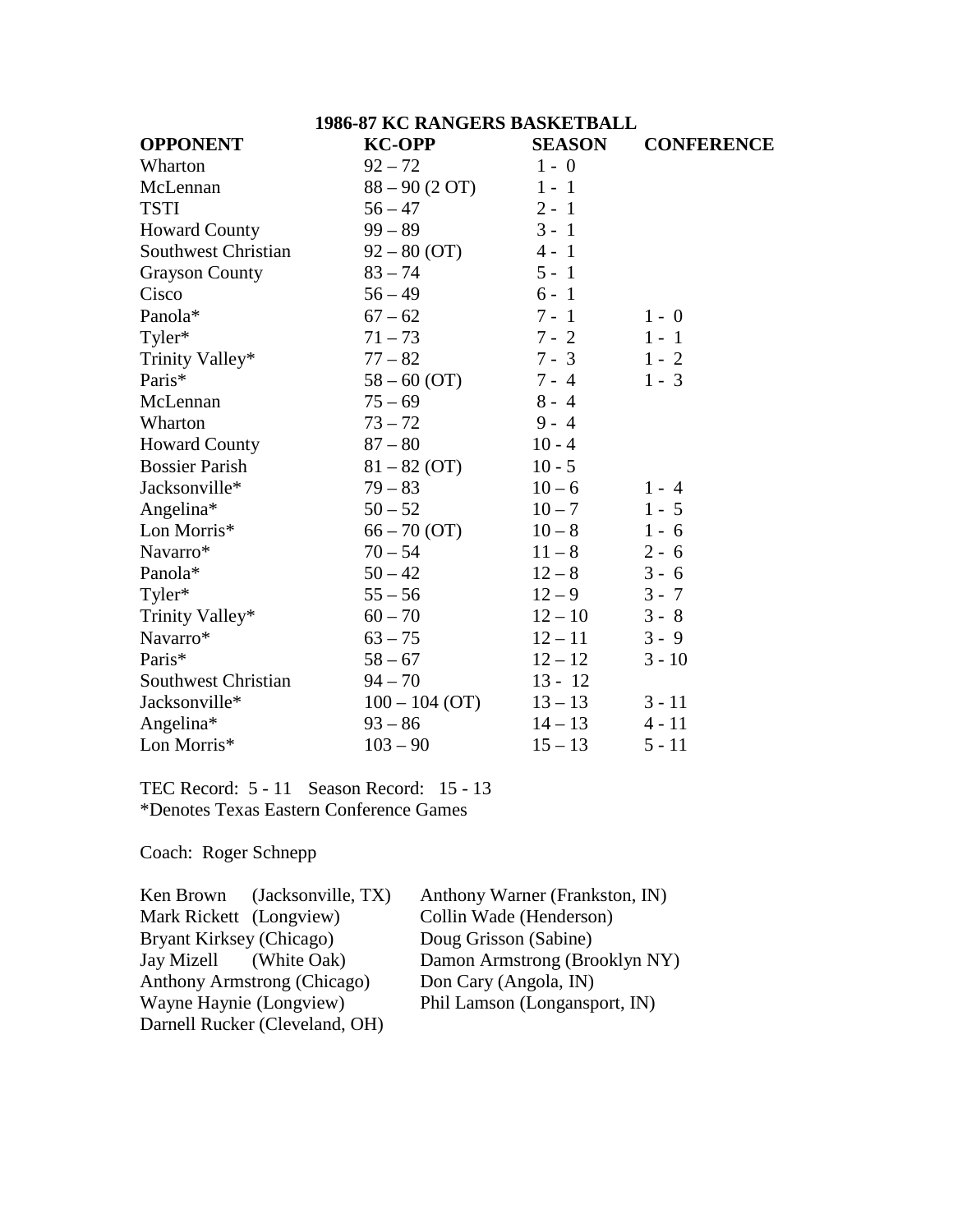| <b>1986-87 KC RANGERS BASKETBALL</b> |                  |               |                   |
|--------------------------------------|------------------|---------------|-------------------|
| <b>OPPONENT</b>                      | <b>KC-OPP</b>    | <b>SEASON</b> | <b>CONFERENCE</b> |
| Wharton                              | $92 - 72$        | $1 - 0$       |                   |
| McLennan                             | $88 - 90 (2 OT)$ | $1 - 1$       |                   |
| <b>TSTI</b>                          | $56 - 47$        | $2 - 1$       |                   |
| <b>Howard County</b>                 | $99 - 89$        | $3 - 1$       |                   |
| Southwest Christian                  | $92 - 80$ (OT)   | $4 - 1$       |                   |
| <b>Grayson County</b>                | $83 - 74$        | $5 - 1$       |                   |
| Cisco                                | $56 - 49$        | $6 - 1$       |                   |
| Panola*                              | $67 - 62$        | $7 - 1$       | $1 - 0$           |
| Tyler*                               | $71 - 73$        | $7 - 2$       | $1 - 1$           |
| Trinity Valley*                      | $77 - 82$        | $7 - 3$       | $1 - 2$           |
| Paris*                               | $58 - 60$ (OT)   | $7 - 4$       | $1 - 3$           |
| McLennan                             | $75 - 69$        | $8 - 4$       |                   |
| Wharton                              | $73 - 72$        | $9 - 4$       |                   |
| <b>Howard County</b>                 | $87 - 80$        | $10 - 4$      |                   |
| <b>Bossier Parish</b>                | $81 - 82$ (OT)   | $10 - 5$      |                   |
| Jacksonville*                        | $79 - 83$        | $10 - 6$      | $1 - 4$           |
| Angelina*                            | $50 - 52$        | $10 - 7$      | $1 - 5$           |
| Lon Morris*                          | $66 - 70$ (OT)   | $10 - 8$      | $1 - 6$           |
| Navarro*                             | $70 - 54$        | $11 - 8$      | $2 - 6$           |
| Panola*                              | $50 - 42$        | $12 - 8$      | $3 - 6$           |
| Tyler*                               | $55 - 56$        | $12 - 9$      | $3 - 7$           |
| Trinity Valley*                      | $60 - 70$        | $12 - 10$     | $3 - 8$           |
| Navarro*                             | $63 - 75$        | $12 - 11$     | $3 - 9$           |
| Paris*                               | $58 - 67$        | $12 - 12$     | $3 - 10$          |
| <b>Southwest Christian</b>           | $94 - 70$        | $13 - 12$     |                   |
| Jacksonville*                        | $100 - 104$ (OT) | $13 - 13$     | $3 - 11$          |
| Angelina*                            | $93 - 86$        | $14 - 13$     | $4 - 11$          |
| Lon Morris*                          | $103 - 90$       | $15 - 13$     | $5 - 11$          |

TEC Record: 5 - 11 Season Record: 15 - 13 \*Denotes Texas Eastern Conference Games

Coach: Roger Schnepp

| Ken Brown (Jacksonville, TX)   | Anthony Warner (Frankston, IN) |
|--------------------------------|--------------------------------|
| Mark Rickett (Longview)        | Collin Wade (Henderson)        |
| Bryant Kirksey (Chicago)       | Doug Grisson (Sabine)          |
| Jay Mizell (White Oak)         | Damon Armstrong (Brooklyn NY)  |
| Anthony Armstrong (Chicago)    | Don Cary (Angola, IN)          |
| Wayne Haynie (Longview)        | Phil Lamson (Longansport, IN)  |
| Darnell Rucker (Cleveland, OH) |                                |
|                                |                                |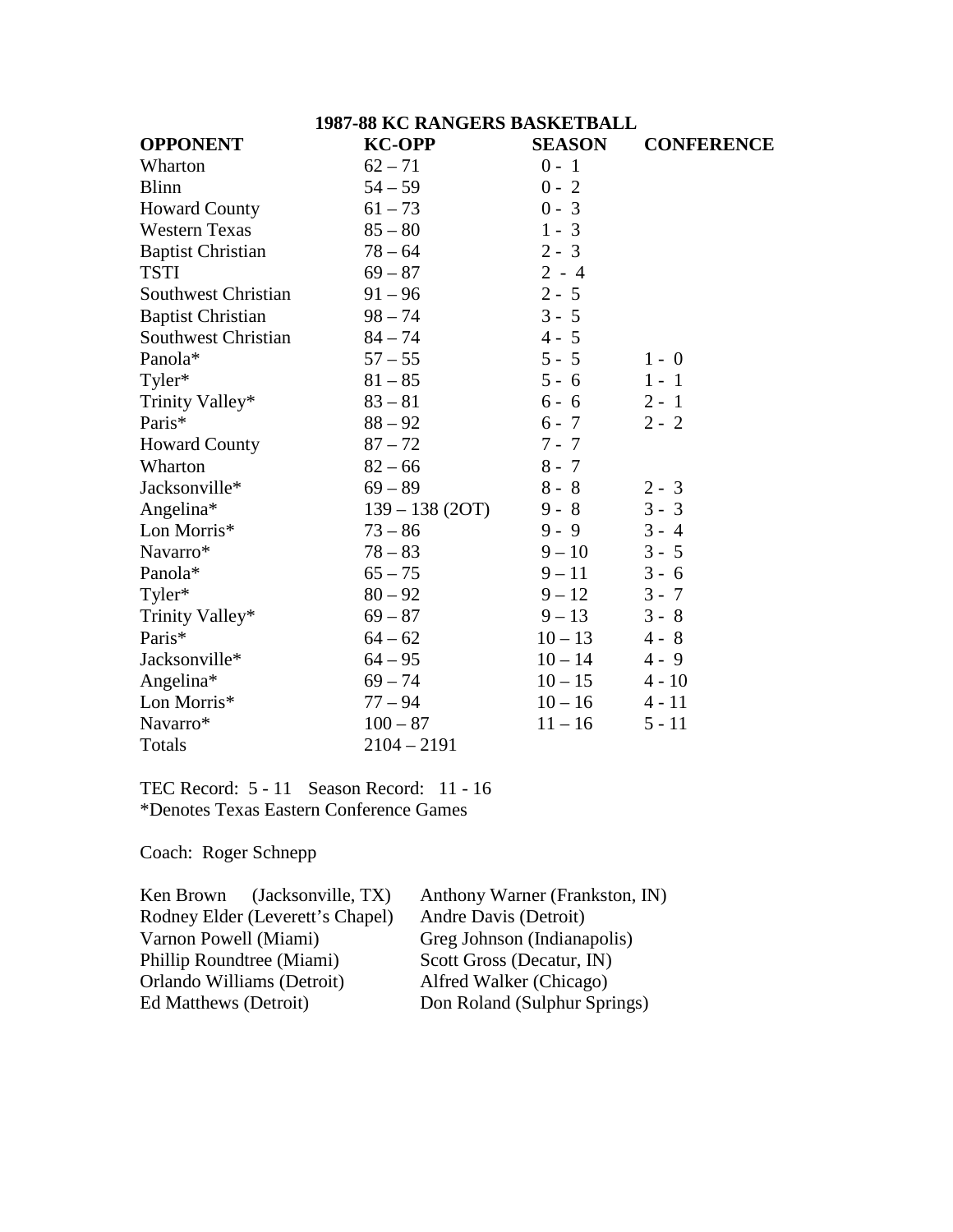|                            | <b>1987-88 KC RANGERS BASKETBALL</b> |               |                   |
|----------------------------|--------------------------------------|---------------|-------------------|
| <b>OPPONENT</b>            | <b>KC-OPP</b>                        | <b>SEASON</b> | <b>CONFERENCE</b> |
| Wharton                    | $62 - 71$                            | $0 - 1$       |                   |
| <b>Blinn</b>               | $54 - 59$                            | $0 - 2$       |                   |
| <b>Howard County</b>       | $61 - 73$                            | $0 - 3$       |                   |
| <b>Western Texas</b>       | $85 - 80$                            | $1 - 3$       |                   |
| <b>Baptist Christian</b>   | $78 - 64$                            | $2 - 3$       |                   |
| <b>TSTI</b>                | $69 - 87$                            | $2 - 4$       |                   |
| <b>Southwest Christian</b> | $91 - 96$                            | $2 - 5$       |                   |
| <b>Baptist Christian</b>   | $98 - 74$                            | $3 - 5$       |                   |
| <b>Southwest Christian</b> | $84 - 74$                            | $4 - 5$       |                   |
| Panola*                    | $57 - 55$                            | $5 - 5$       | $1 - 0$           |
| Tyler*                     | $81 - 85$                            | $5 - 6$       | $1 - 1$           |
| Trinity Valley*            | $83 - 81$                            | $6 - 6$       | $2 - 1$           |
| Paris*                     | $88 - 92$                            | $6 - 7$       | $2 - 2$           |
| <b>Howard County</b>       | $87 - 72$                            | $7 - 7$       |                   |
| Wharton                    | $82 - 66$                            | $8 - 7$       |                   |
| Jacksonville*              | $69 - 89$                            | $8 - 8$       | $2 - 3$           |
| Angelina*                  | $139 - 138(2OT)$                     | $9 - 8$       | $3 - 3$           |
| Lon Morris*                | $73 - 86$                            | $9 - 9$       | $3 - 4$           |
| Navarro*                   | $78 - 83$                            | $9 - 10$      | $3 - 5$           |
| Panola*                    | $65 - 75$                            | $9 - 11$      | $3 - 6$           |
| Tyler*                     | $80 - 92$                            | $9 - 12$      | $3 - 7$           |
| Trinity Valley*            | $69 - 87$                            | $9 - 13$      | $3 - 8$           |
| Paris*                     | $64 - 62$                            | $10 - 13$     | $4 - 8$           |
| Jacksonville*              | $64 - 95$                            | $10 - 14$     | $4 - 9$           |
| Angelina*                  | $69 - 74$                            | $10 - 15$     | $4 - 10$          |
| Lon Morris*                | $77 - 94$                            | $10 - 16$     | $4 - 11$          |
| Navarro*                   | $100 - 87$                           | $11 - 16$     | $5 - 11$          |
| Totals                     | $2104 - 2191$                        |               |                   |

TEC Record: 5 - 11 Season Record: 11 - 16 \*Denotes Texas Eastern Conference Games

Coach: Roger Schnepp

| Anthony Warner (Frankston, IN) |  |  |
|--------------------------------|--|--|
| Andre Davis (Detroit)          |  |  |
| Greg Johnson (Indianapolis)    |  |  |
| Scott Gross (Decatur, IN)      |  |  |
| Alfred Walker (Chicago)        |  |  |
| Don Roland (Sulphur Springs)   |  |  |
|                                |  |  |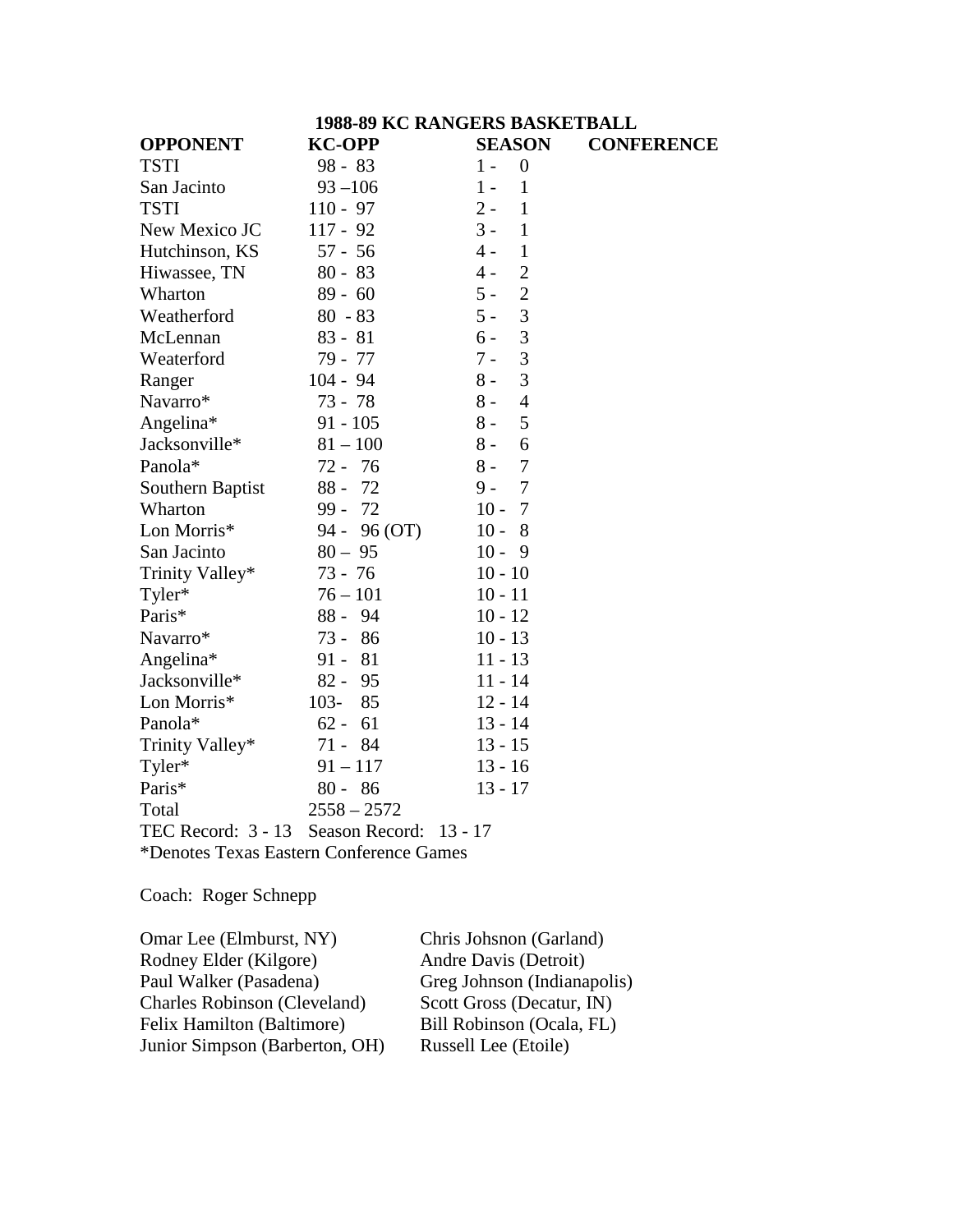| <b>1988-89 KC RANGERS BASKETBALL</b>    |                        |                           |                   |
|-----------------------------------------|------------------------|---------------------------|-------------------|
| <b>OPPONENT</b>                         | <b>KC-OPP</b>          | <b>SEASON</b>             | <b>CONFERENCE</b> |
| <b>TSTI</b>                             | $98 - 83$              | $\boldsymbol{0}$<br>$1 -$ |                   |
| San Jacinto                             | $93 - 106$             | $\mathbf{1}$<br>$1 -$     |                   |
| <b>TSTI</b>                             | $110 - 97$             | $2 -$<br>$\mathbf{1}$     |                   |
| New Mexico JC                           | $117 - 92$             | $3 -$<br>$\mathbf{1}$     |                   |
| Hutchinson, KS                          | $57 - 56$              | $\mathbf{1}$<br>$4 -$     |                   |
| Hiwassee, TN                            | $80 - 83$              | $\overline{c}$<br>$4 -$   |                   |
| Wharton                                 | $89 - 60$              | $\overline{c}$<br>$5 -$   |                   |
| Weatherford                             | $80 - 83$              | 3<br>$5 -$                |                   |
| McLennan                                | $83 - 81$              | 3<br>$6 -$                |                   |
| Weaterford                              | 79 - 77                | 3<br>$7 -$                |                   |
| Ranger                                  | $104 - 94$             | 3<br>$8 -$                |                   |
| Navarro*                                | 73 - 78                | $\overline{4}$<br>$8 -$   |                   |
| Angelina*                               | $91 - 105$             | $8 -$<br>5                |                   |
| Jacksonville*                           | $81 - 100$             | $8-$<br>6                 |                   |
| Panola*                                 | 72 - 76                | $\overline{7}$<br>$8 -$   |                   |
| Southern Baptist                        | $88 -$<br>72           | $\tau$<br>$9 -$           |                   |
| Wharton                                 | -72<br>$99 -$          | $10 -$<br>$\overline{7}$  |                   |
| Lon Morris*                             | 94 - 96 (OT)           | $10 -$<br>8               |                   |
| San Jacinto                             | $80 - 95$              | $10 -$<br>9               |                   |
| Trinity Valley*                         | $73 - 76$              | $10 - 10$                 |                   |
| Tyler*                                  | $76 - 101$             | $10 - 11$                 |                   |
| Paris*                                  | $88 - 94$              | $10 - 12$                 |                   |
| Navarro*                                | $73 -$<br>86           | $10 - 13$                 |                   |
| Angelina*                               | 81<br>$91 -$           | $11 - 13$                 |                   |
| Jacksonville*                           | $82 -$<br>95           | $11 - 14$                 |                   |
| Lon Morris*                             | $103 -$<br>85          | $12 - 14$                 |                   |
| Panola*                                 | $62 -$<br>61           | $13 - 14$                 |                   |
| Trinity Valley*                         | 84<br>$71 -$           | $13 - 15$                 |                   |
| Tyler*                                  | $91 - 117$             | $13 - 16$                 |                   |
| Paris*                                  | $80 - 86$              | $13 - 17$                 |                   |
| Total                                   | $2558 - 2572$          |                           |                   |
| TEC Record: $3 - 13$                    | Season Record: 13 - 17 |                           |                   |
| *Denotes Texas Eastern Conference Games |                        |                           |                   |

Coach: Roger Schnepp

Omar Lee (Elmburst, NY) Chris Johsnon (Garland)<br>Rodney Elder (Kilgore) Andre Davis (Detroit) Rodney Elder (Kilgore)<br>Paul Walker (Pasadena) Greg Johnson (Indianapolis)<br>Scott Gross (Decatur, IN) Charles Robinson (Cleveland) Scott Gross (Decatur, IN)<br>Felix Hamilton (Baltimore) Bill Robinson (Ocala, FL) Felix Hamilton (Baltimore) Bill Robinson (Ocala<br>
Junior Simpson (Barberton, OH) Russell Lee (Etoile) Junior Simpson (Barberton, OH)